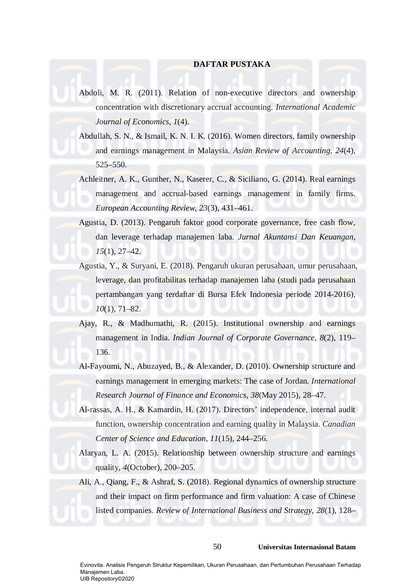# **DAFTAR PUSTAKA**

Abdoli, M. R. (2011). Relation of non-executive directors and ownership concentration with discretionary accrual accounting. *International Academic Journal of Economics*, *1*(4).

Abdullah, S. N., & Ismail, K. N. I. K. (2016). Women directors, family ownership and earnings management in Malaysia. *Asian Review of Accounting*, *24*(4), 525–550.

Achleitner, A. K., Gunther, N., Kaserer, C., & Siciliano, G. (2014). Real earnings management and accrual-based earnings management in family firms. *European Accounting Review*, *23*(3), 431–461.

Agustia, D. (2013). Pengaruh faktor good corporate governance, free cash flow, dan leverage terhadap manajemen laba. *Jurnal Akuntansi Dan Keuangan*, *15*(1), 27–42.

Agustia, Y., & Suryani, E. (2018). Pengaruh ukuran perusahaan, umur perusahaan, leverage, dan profitabilitas terhadap manajemen laba (studi pada perusahaan pertambangan yang terdaftar di Bursa Efek Indonesia periode 2014-2016), *10*(1), 71–82.

Ajay, R., & Madhumathi, R. (2015). Institutional ownership and earnings management in India. *Indian Journal of Corporate Governance*, *8*(2), 119– 136.

Al-Fayoumi, N., Abuzayed, B., & Alexander, D. (2010). Ownership structure and earnings management in emerging markets: The case of Jordan. *International Research Journal of Finance and Economics*, *38*(May 2015), 28–47.

Al-rassas, A. H., & Kamardin, H. (2017). Directors' independence, internal audit function, ownership concentration and earning quality in Malaysia. *Canadian Center of Science and Education*, *11*(15), 244–256.

Alaryan, L. A. (2015). Relationship between ownership structure and earnings quality, *4*(October), 200–205.

Ali, A., Qiang, F., & Ashraf, S. (2018). Regional dynamics of ownership structure and their impact on firm performance and firm valuation: A case of Chinese listed companies. *Review of International Business and Strategy*, *28*(1), 128–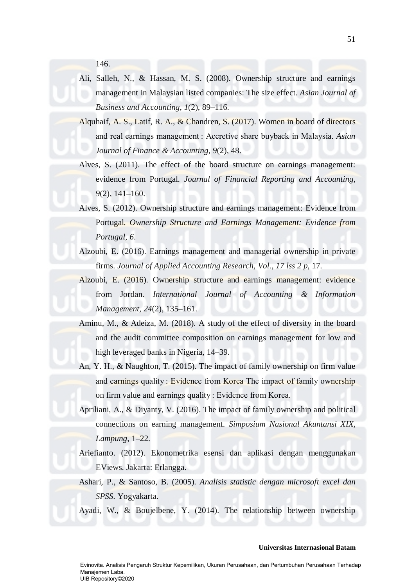146.

- Ali, Salleh, N., & Hassan, M. S. (2008). Ownership structure and earnings management in Malaysian listed companies: The size effect. *Asian Journal of Business and Accounting*, *1*(2), 89–116.
- Alquhaif, A. S., Latif, R. A., & Chandren, S. (2017). Women in board of directors and real earnings management : Accretive share buyback in Malaysia. *Asian Journal of Finance & Accounting*, *9*(2), 48.
- Alves, S. (2011). The effect of the board structure on earnings management: evidence from Portugal. *Journal of Financial Reporting and Accounting*, *9*(2), 141–160.
- Alves, S. (2012). Ownership structure and earnings management: Evidence from Portugal. *Ownership Structure and Earnings Management: Evidence from Portugal*, *6*.
- Alzoubi, E. (2016). Earnings management and managerial ownership in private firms. *Journal of Applied Accounting Research, Vol.*, *17 lss 2 p*, 17.
- Alzoubi, E. (2016). Ownership structure and earnings management: evidence from Jordan. *International Journal of Accounting & Information Management*, *24*(2), 135–161.
- Aminu, M., & Adeiza, M. (2018). A study of the effect of diversity in the board and the audit committee composition on earnings management for low and high leveraged banks in Nigeria, 14–39.
- An, Y. H., & Naughton, T. (2015). The impact of family ownership on firm value and earnings quality : Evidence from Korea The impact of family ownership on firm value and earnings quality : Evidence from Korea.
- Apriliani, A., & Diyanty, V. (2016). The impact of family ownership and political connections on earning management. *Simposium Nasional Akuntansi XIX, Lampung*, 1–22.
- Ariefianto. (2012). Ekonometrika esensi dan aplikasi dengan menggunakan EViews. Jakarta: Erlangga.
- Ashari, P., & Santoso, B. (2005). *Analisis statistic dengan microsoft excel dan SPSS*. Yogyakarta.
- Ayadi, W., & Boujelbene, Y. (2014). The relationship between ownership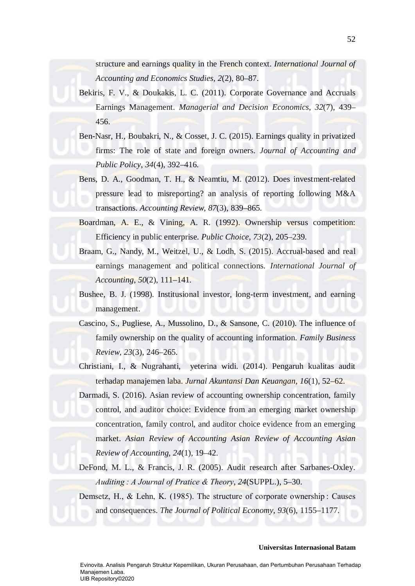structure and earnings quality in the French context. *International Journal of Accounting and Economics Studies*, *2*(2), 80–87.

- Bekiris, F. V., & Doukakis, L. C. (2011). Corporate Governance and Accruals Earnings Management. *Managerial and Decision Economics*, *32*(7), 439– 456.
- Ben-Nasr, H., Boubakri, N., & Cosset, J. C. (2015). Earnings quality in privatized firms: The role of state and foreign owners. *Journal of Accounting and Public Policy*, *34*(4), 392–416.
- Bens, D. A., Goodman, T. H., & Neamtiu, M. (2012). Does investment-related pressure lead to misreporting? an analysis of reporting following M&A transactions. *Accounting Review*, *87*(3), 839–865.
- Boardman, A. E., & Vining, A. R. (1992). Ownership versus competition: Efficiency in public enterprise. *Public Choice*, *73*(2), 205–239.
- Braam, G., Nandy, M., Weitzel, U., & Lodh, S. (2015). Accrual-based and real earnings management and political connections. *International Journal of Accounting*, *50*(2), 111–141.
- Bushee, B. J. (1998). Institusional investor, long-term investment, and earning management.
- Cascino, S., Pugliese, A., Mussolino, D., & Sansone, C. (2010). The influence of family ownership on the quality of accounting information. *Family Business Review*, *23*(3), 246–265.
- Christiani, I., & Nugrahanti, yeterina widi. (2014). Pengaruh kualitas audit terhadap manajemen laba. *Jurnal Akuntansi Dan Keuangan*, *16*(1), 52–62.

Darmadi, S. (2016). Asian review of accounting ownership concentration, family control, and auditor choice: Evidence from an emerging market ownership concentration, family control, and auditor choice evidence from an emerging market. *Asian Review of Accounting Asian Review of Accounting Asian Review of Accounting*, *24*(1), 19–42.

DeFond, M. L., & Francis, J. R. (2005). Audit research after Sarbanes-Oxley. *Auditing : A Journal of Pratice & Theory*, *24*(SUPPL.), 5–30.

Demsetz, H., & Lehn, K. (1985). The structure of corporate ownership : Causes and consequences. *The Journal of Political Economy*, *93*(6), 1155–1177.

## **Universitas Internasional Batam**

Evinovita. Analisis Pengaruh Struktur Kepemilikan, Ukuran Perusahaan, dan Pertumbuhan Perusahaan Terhadap Manajemen Laba. UIB Repository©2020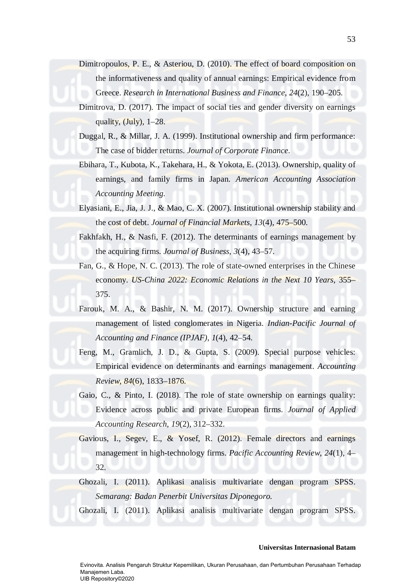- Dimitropoulos, P. E., & Asteriou, D. (2010). The effect of board composition on the informativeness and quality of annual earnings: Empirical evidence from Greece. *Research in International Business and Finance*, *24*(2), 190–205.
- Dimitrova, D. (2017). The impact of social ties and gender diversity on earnings quality, (July), 1–28.
- Duggal, R., & Millar, J. A. (1999). Institutional ownership and firm performance: The case of bidder returns. *Journal of Corporate Finance*.
- Ebihara, T., Kubota, K., Takehara, H., & Yokota, E. (2013). Ownership, quality of earnings, and family firms in Japan. *American Accounting Association Accounting Meeting*.
- Elyasiani, E., Jia, J. J., & Mao, C. X. (2007). Institutional ownership stability and the cost of debt. *Journal of Financial Markets*, *13*(4), 475–500.
- Fakhfakh, H., & Nasfi, F. (2012). The determinants of earnings management by the acquiring firms. *Journal of Business*, *3*(4), 43–57.
- Fan, G., & Hope, N. C. (2013). The role of state-owned enterprises in the Chinese economy. *US-China 2022: Economic Relations in the Next 10 Years*, 355– 375.
- Farouk, M. A., & Bashir, N. M. (2017). Ownership structure and earning management of listed conglomerates in Nigeria. *Indian-Pacific Journal of Accounting and Finance (IPJAF)*, *1*(4), 42–54.
- Feng, M., Gramlich, J. D., & Gupta, S. (2009). Special purpose vehicles: Empirical evidence on determinants and earnings management. *Accounting Review*, *84*(6), 1833–1876.
- Gaio, C., & Pinto, I. (2018). The role of state ownership on earnings quality: Evidence across public and private European firms. *Journal of Applied Accounting Research*, *19*(2), 312–332.
- Gavious, I., Segev, E., & Yosef, R. (2012). Female directors and earnings management in high-technology firms. *Pacific Accounting Review*, *24*(1), 4– 32.
- Ghozali, I. (2011). Aplikasi analisis multivariate dengan program SPSS. *Semarang: Badan Penerbit Universitas Diponegoro.*

Ghozali, I. (2011). Aplikasi analisis multivariate dengan program SPSS.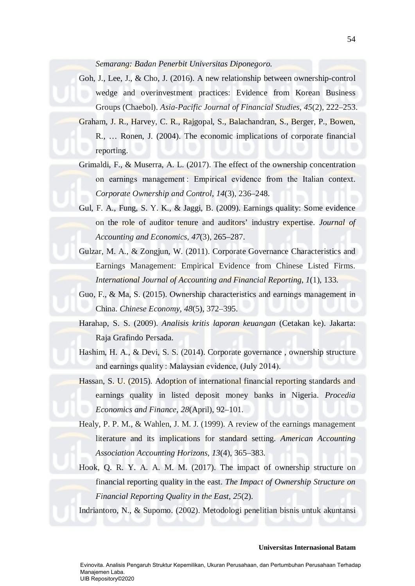*Semarang: Badan Penerbit Universitas Diponegoro.*

Goh, J., Lee, J., & Cho, J. (2016). A new relationship between ownership-control wedge and overinvestment practices: Evidence from Korean Business Groups (Chaebol). *Asia-Pacific Journal of Financial Studies*, *45*(2), 222–253.

Graham, J. R., Harvey, C. R., Rajgopal, S., Balachandran, S., Berger, P., Bowen, R., … Ronen, J. (2004). The economic implications of corporate financial reporting.

- Grimaldi, F., & Muserra, A. L. (2017). The effect of the ownership concentration on earnings management : Empirical evidence from the Italian context. *Corporate Ownership and Control*, *14*(3), 236–248.
- Gul, F. A., Fung, S. Y. K., & Jaggi, B. (2009). Earnings quality: Some evidence on the role of auditor tenure and auditors' industry expertise. *Journal of Accounting and Economics*, *47*(3), 265–287.
- Gulzar, M. A., & Zongjun, W. (2011). Corporate Governance Characteristics and Earnings Management: Empirical Evidence from Chinese Listed Firms. *International Journal of Accounting and Financial Reporting*, *1*(1), 133.
- Guo, F., & Ma, S. (2015). Ownership characteristics and earnings management in China. *Chinese Economy*, *48*(5), 372–395.
- Harahap, S. S. (2009). *Analisis kritis laporan keuangan* (Cetakan ke). Jakarta: Raja Grafindo Persada.
- Hashim, H. A., & Devi, S. S. (2014). Corporate governance , ownership structure and earnings quality : Malaysian evidence, (July 2014).
- Hassan, S. U. (2015). Adoption of international financial reporting standards and earnings quality in listed deposit money banks in Nigeria. *Procedia Economics and Finance*, *28*(April), 92–101.
- Healy, P. P. M., & Wahlen, J. M. J. (1999). A review of the earnings management literature and its implications for standard setting. *American Accounting Association Accounting Horizons*, *13*(4), 365–383.
- Hook, Q. R. Y. A. A. M. M. (2017). The impact of ownership structure on financial reporting quality in the east. *The Impact of Ownership Structure on Financial Reporting Quality in the East*, *25*(2).

Indriantoro, N., & Supomo. (2002). Metodologi penelitian bisnis untuk akuntansi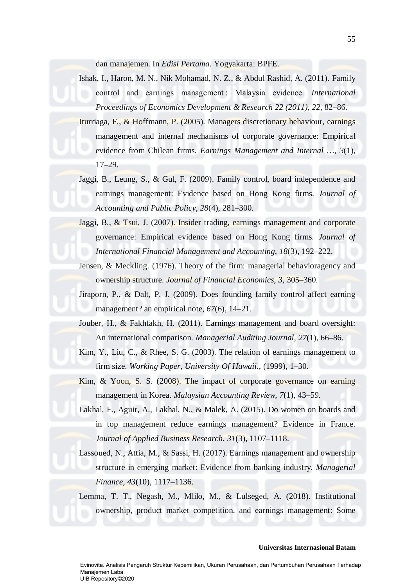dan manajemen. In *Edisi Pertama*. Yogyakarta: BPFE.

Ishak, I., Haron, M. N., Nik Mohamad, N. Z., & Abdul Rashid, A. (2011). Family control and earnings management : Malaysia evidence. *International Proceedings of Economics Development & Research 22 (2011)*, *22*, 82–86.

Iturriaga, F., & Hoffmann, P. (2005). Managers discretionary behaviour, earnings management and internal mechanisms of corporate governance: Empirical evidence from Chilean firms. *Earnings Management and Internal …*, *3*(1), 17–29.

- Jaggi, B., Leung, S., & Gul, F. (2009). Family control, board independence and earnings management: Evidence based on Hong Kong firms. *Journal of Accounting and Public Policy*, *28*(4), 281–300.
- Jaggi, B., & Tsui, J. (2007). Insider trading, earnings management and corporate governance: Empirical evidence based on Hong Kong firms. *Journal of International Financial Management and Accounting*, *18*(3), 192–222.
- Jensen, & Meckling. (1976). Theory of the firm: managerial behavioragency and ownership structure. *Journal of Financial Economics*, *3*, 305–360.
- Jiraporn, P., & Dalt, P. J. (2009). Does founding family control affect earning management? an empirical note, *67*(6), 14–21.
- Jouber, H., & Fakhfakh, H. (2011). Earnings management and board oversight: An international comparison. *Managerial Auditing Journal*, *27*(1), 66–86.
- Kim, Y., Liu, C., & Rhee, S. G. (2003). The relation of earnings management to firm size. *Working Paper, University Of Hawaii.*, (1999), 1–30.
- Kim, & Yoon, S. S. (2008). The impact of corporate governance on earning management in Korea. *Malaysian Accounting Review*, *7*(1), 43–59.
- Lakhal, F., Aguir, A., Lakhal, N., & Malek, A. (2015). Do women on boards and in top management reduce earnings management? Evidence in France. *Journal of Applied Business Research*, *31*(3), 1107–1118.
- Lassoued, N., Attia, M., & Sassi, H. (2017). Earnings management and ownership structure in emerging market: Evidence from banking industry. *Managerial Finance*, *43*(10), 1117–1136.

Lemma, T. T., Negash, M., Mlilo, M., & Lulseged, A. (2018). Institutional ownership, product market competition, and earnings management: Some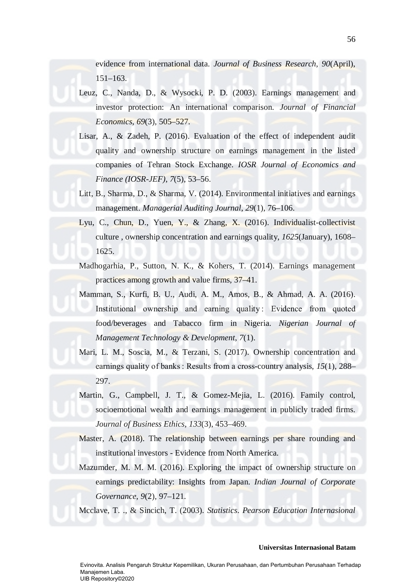evidence from international data. *Journal of Business Research*, *90*(April), 151–163.

- Leuz, C., Nanda, D., & Wysocki, P. D. (2003). Earnings management and investor protection: An international comparison. *Journal of Financial Economics*, *69*(3), 505–527.
- Lisar, A., & Zadeh, P. (2016). Evaluation of the effect of independent audit quality and ownership structure on earnings management in the listed companies of Tehran Stock Exchange. *IOSR Journal of Economics and Finance (IOSR-JEF)*, *7*(5), 53–56.
- Litt, B., Sharma, D., & Sharma, V. (2014). Environmental initiatives and earnings management. *Managerial Auditing Journal*, *29*(1), 76–106.
- Lyu, C., Chun, D., Yuen, Y., & Zhang, X. (2016). Individualist-collectivist culture , ownership concentration and earnings quality, *1625*(January), 1608– 1625.
- Madhogarhia, P., Sutton, N. K., & Kohers, T. (2014). Earnings management practices among growth and value firms, 37–41.
- Mamman, S., Kurfi, B. U., Audi, A. M., Amos, B., & Ahmad, A. A. (2016). Institutional ownership and earning quality: Evidence from quoted food/beverages and Tabacco firm in Nigeria. *Nigerian Journal of Management Technology & Development*, *7*(1).
- Mari, L. M., Soscia, M., & Terzani, S. (2017). Ownership concentration and earnings quality of banks : Results from a cross-country analysis, *15*(1), 288– 297.
- Martin, G., Campbell, J. T., & Gomez-Mejia, L. (2016). Family control, socioemotional wealth and earnings management in publicly traded firms. *Journal of Business Ethics*, *133*(3), 453–469.
- Master, A. (2018). The relationship between earnings per share rounding and institutional investors - Evidence from North America.
- Mazumder, M. M. M. (2016). Exploring the impact of ownership structure on earnings predictability: Insights from Japan. *Indian Journal of Corporate Governance*, *9*(2), 97–121.

Mcclave, T. ., & Sincich, T. (2003). *Statistics*. *Pearson Education Internasional*

56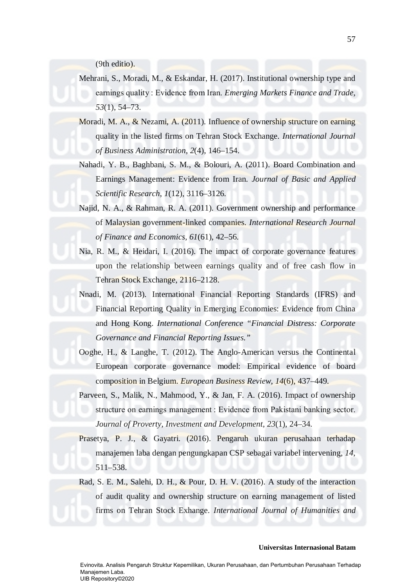(9th editio).

- Mehrani, S., Moradi, M., & Eskandar, H. (2017). Institutional ownership type and earnings quality : Evidence from Iran. *Emerging Markets Finance and Trade*, *53*(1), 54–73.
- Moradi, M. A., & Nezami, A. (2011). Influence of ownership structure on earning quality in the listed firms on Tehran Stock Exchange. *International Journal of Business Administration*, *2*(4), 146–154.
- Nahadi, Y. B., Baghbani, S. M., & Bolouri, A. (2011). Board Combination and Earnings Management: Evidence from Iran. *Journal of Basic and Applied Scientific Research*, *1*(12), 3116–3126.
- Najid, N. A., & Rahman, R. A. (2011). Government ownership and performance of Malaysian government-linked companies. *International Research Journal of Finance and Economics*, *61*(61), 42–56.
- Nia, R. M., & Heidari, I. (2016). The impact of corporate governance features upon the relationship between earnings quality and of free cash flow in Tehran Stock Exchange, 2116–2128.
- Nnadi, M. (2013). International Financial Reporting Standards (IFRS) and Financial Reporting Quality in Emerging Economies: Evidence from China and Hong Kong. *International Conference "Financial Distress: Corporate Governance and Financial Reporting Issues."*
- Ooghe, H., & Langhe, T. (2012). The Anglo-American versus the Continental European corporate governance model: Empirical evidence of board composition in Belgium. *European Business Review*, *14*(6), 437–449.
- Parveen, S., Malik, N., Mahmood, Y., & Jan, F. A. (2016). Impact of ownership structure on earnings management : Evidence from Pakistani banking sector. *Journal of Proverty, Investment and Development*, *23*(1), 24–34.
- Prasetya, P. J., & Gayatri. (2016). Pengaruh ukuran perusahaan terhadap manajemen laba dengan pengungkapan CSP sebagai variabel intervening, *14*, 511–538.
- Rad, S. E. M., Salehi, D. H., & Pour, D. H. V. (2016). A study of the interaction of audit quality and ownership structure on earning management of listed firms on Tehran Stock Exhange. *International Journal of Humanities and*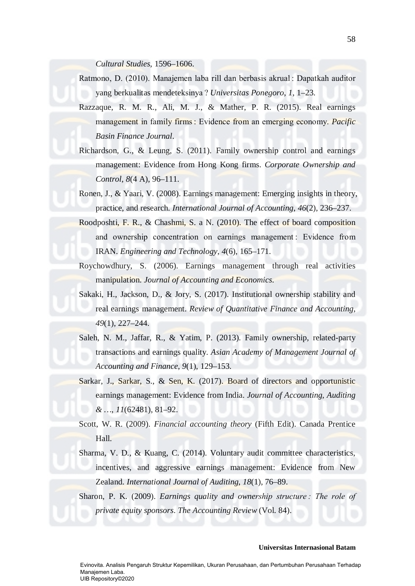*Cultural Studies*, 1596–1606.

- Ratmono, D. (2010). Manajemen laba rill dan berbasis akrual : Dapatkah auditor yang berkualitas mendeteksinya ? *Universitas Ponegoro*, *1*, 1–23.
- Razzaque, R. M. R., Ali, M. J., & Mather, P. R. (2015). Real earnings management in family firms : Evidence from an emerging economy. *Pacific Basin Finance Journal*.
- Richardson, G., & Leung, S. (2011). Family ownership control and earnings management: Evidence from Hong Kong firms. *Corporate Ownership and Control*, *8*(4 A), 96–111.
- Ronen, J., & Yaari, V. (2008). Earnings management: Emerging insights in theory, practice, and research. *International Journal of Accounting*, *46*(2), 236–237.
- Roodposhti, F. R., & Chashmi, S. a N. (2010). The effect of board composition and ownership concentration on earnings management : Evidence from IRAN. *Engineering and Technology*, *4*(6), 165–171.
- Roychowdhury, S. (2006). Earnings management through real activities manipulation. *Journal of Accounting and Economics*.
- Sakaki, H., Jackson, D., & Jory, S. (2017). Institutional ownership stability and real earnings management. *Review of Quantitative Finance and Accounting*, *49*(1), 227–244.
- Saleh, N. M., Jaffar, R., & Yatim, P. (2013). Family ownership, related-party transactions and earnings quality. *Asian Academy of Management Journal of Accounting and Finance*, *9*(1), 129–153.
- Sarkar, J., Sarkar, S., & Sen, K. (2017). Board of directors and opportunistic earnings management: Evidence from India. *Journal of Accounting, Auditing & …*, *11*(62481), 81–92.
- Scott, W. R. (2009). *Financial accounting theory* (Fifth Edit). Canada Prentice Hall.
- Sharma, V. D., & Kuang, C. (2014). Voluntary audit committee characteristics, incentives, and aggressive earnings management: Evidence from New Zealand. *International Journal of Auditing*, *18*(1), 76–89.

Sharon, P. K. (2009). *Earnings quality and ownership structure : The role of private equity sponsors*. *The Accounting Review* (Vol. 84).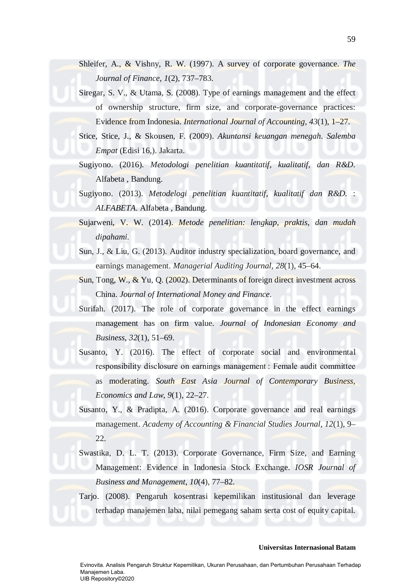- Shleifer, A., & Vishny, R. W. (1997). A survey of corporate governance. *The Journal of Finance*, *1*(2), 737–783.
- Siregar, S. V., & Utama, S. (2008). Type of earnings management and the effect of ownership structure, firm size, and corporate-governance practices: Evidence from Indonesia. *International Journal of Accounting*, *43*(1), 1–27.
- Stice, Stice, J., & Skousen, F. (2009). *Akuntansi keuangan menegah*. *Salemba Empat* (Edisi 16,). Jakarta.
- Sugiyono. (2016). *Metodologi penelitian kuantitatif, kualitatif, dan R&D*. Alfabeta , Bandung.
- Sugiyono. (2013). *Metodelogi penelitian kuantitatif, kualitatif dan R&D.* : *ALFABETA*. Alfabeta , Bandung.
- Sujarweni, V. W. (2014). *Metode penelitian: lengkap, praktis, dan mudah dipahami.*
- Sun, J., & Liu, G. (2013). Auditor industry specialization, board governance, and earnings management. *Managerial Auditing Journal*, *28*(1), 45–64.
- Sun, Tong, W., & Yu, Q. (2002). Determinants of foreign direct investment across China. *Journal of International Money and Finance*.
- Surifah. (2017). The role of corporate governance in the effect earnings management has on firm value. *Journal of Indonesian Economy and Business*, *32*(1), 51–69.
- Susanto, Y. (2016). The effect of corporate social and environmental responsibility disclosure on earnings management : Female audit committee as moderating. *South East Asia Journal of Contemporary Business, Economics and Law*, *9*(1), 22–27.
- Susanto, Y., & Pradipta, A. (2016). Corporate governance and real earnings management. *Academy of Accounting & Financial Studies Journal*, *12*(1), 9– 22.
- Swastika, D. L. T. (2013). Corporate Governance, Firm Size, and Earning Management: Evidence in Indonesia Stock Exchange. *IOSR Journal of Business and Management*, *10*(4), 77–82.

Tarjo. (2008). Pengaruh kosentrasi kepemilikan institusional dan leverage terhadap manajemen laba, nilai pemegang saham serta cost of equity capital.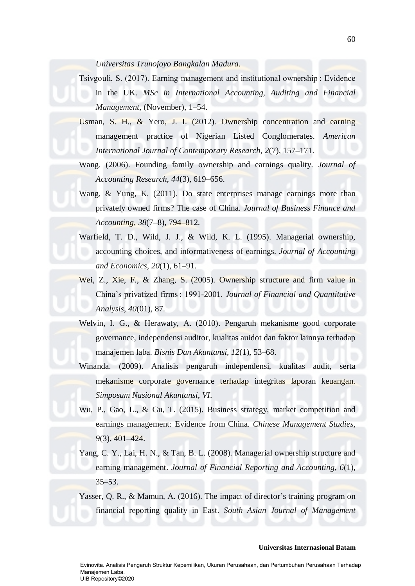## *Universitas Trunojoyo Bangkalan Madura*.

Tsivgouli, S. (2017). Earning management and institutional ownership : Evidence in the UK. *MSc in International Accounting, Auditing and Financial Management*, (November), 1–54.

- Usman, S. H., & Yero, J. I. (2012). Ownership concentration and earning management practice of Nigerian Listed Conglomerates. *American International Journal of Contemporary Research*, *2*(7), 157–171.
- Wang. (2006). Founding family ownership and earnings quality. *Journal of Accounting Research*, *44*(3), 619–656.
- Wang, & Yung, K. (2011). Do state enterprises manage earnings more than privately owned firms? The case of China. *Journal of Business Finance and Accounting*, *38*(7–8), 794–812.
- Warfield, T. D., Wild, J. J., & Wild, K. L. (1995). Managerial ownership, accounting choices, and informativeness of earnings. *Journal of Accounting and Economics*, *20*(1), 61–91.
- Wei, Z., Xie, F., & Zhang, S. (2005). Ownership structure and firm value in China's privatized firms : 1991-2001. *Journal of Financial and Quantitative Analysis*, *40*(01), 87.
- Welvin, I. G., & Herawaty, A. (2010). Pengaruh mekanisme good corporate governance, independensi auditor, kualitas auidot dan faktor lainnya terhadap manajemen laba. *Bisnis Dan Akuntansi*, *12*(1), 53–68.
- Winanda. (2009). Analisis pengaruh independensi, kualitas audit, serta mekanisme corporate governance terhadap integritas laporan keuangan. *Simposum Nasional Akuntansi*, *VI*.
- Wu, P., Gao, L., & Gu, T. (2015). Business strategy, market competition and earnings management: Evidence from China. *Chinese Management Studies*, *9*(3), 401–424.
- Yang, C. Y., Lai, H. N., & Tan, B. L. (2008). Managerial ownership structure and earning management. *Journal of Financial Reporting and Accounting*, *6*(1), 35–53.

Yasser, Q. R., & Mamun, A. (2016). The impact of director's training program on financial reporting quality in East. *South Asian Journal of Management*